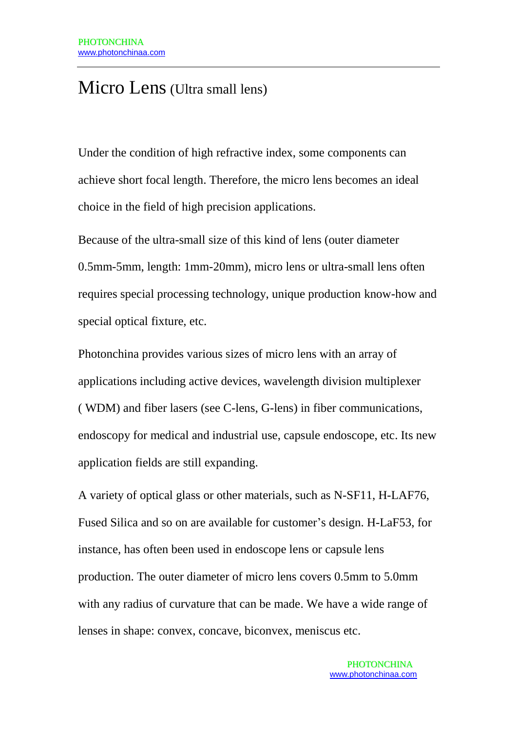## Micro Lens (Ultra small lens)

Under the condition of high refractive index, some components can achieve short focal length. Therefore, the micro lens becomes an ideal choice in the field of high precision applications.

Because of the ultra-small size of this kind of lens (outer diameter 0.5mm-5mm, length: 1mm-20mm), micro lens or ultra-small lens often requires special processing technology, unique production know-how and special optical fixture, etc.

Photonchina provides various sizes of micro lens with an array of applications including active devices, wavelength division multiplexer ( WDM) and fiber lasers (see C-lens, G-lens) in fiber communications, endoscopy for medical and industrial use, capsule endoscope, etc. Its new application fields are still expanding.

A variety of optical glass or other materials, such as N-SF11, H-LAF76, Fused Silica and so on are available for customer's design. H-LaF53, for instance, has often been used in endoscope lens or capsule lens production. The outer diameter of micro lens covers 0.5mm to 5.0mm with any radius of curvature that can be made. We have a wide range of lenses in shape: convex, concave, biconvex, meniscus etc.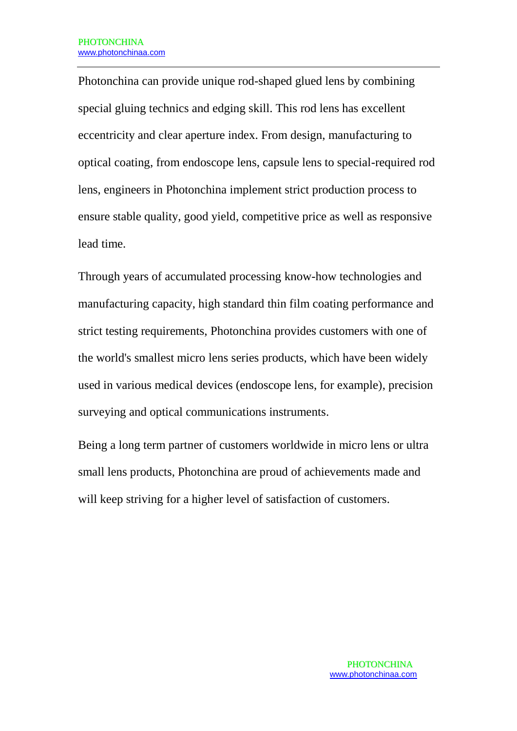Photonchina can provide unique rod-shaped glued lens by combining special gluing technics and edging skill. This rod lens has excellent eccentricity and clear aperture index. From design, manufacturing to optical coating, from endoscope lens, capsule lens to special-required rod lens, engineers in Photonchina implement strict production process to ensure stable quality, good yield, competitive price as well as responsive lead time.

Through years of accumulated processing know-how technologies and manufacturing capacity, high standard thin film coating performance and strict testing requirements, Photonchina provides customers with one of the world's smallest micro lens series products, which have been widely used in various medical devices (endoscope lens, for example), precision surveying and optical communications instruments.

Being a long term partner of customers worldwide in micro lens or ultra small lens products, Photonchina are proud of achievements made and will keep striving for a higher level of satisfaction of customers.